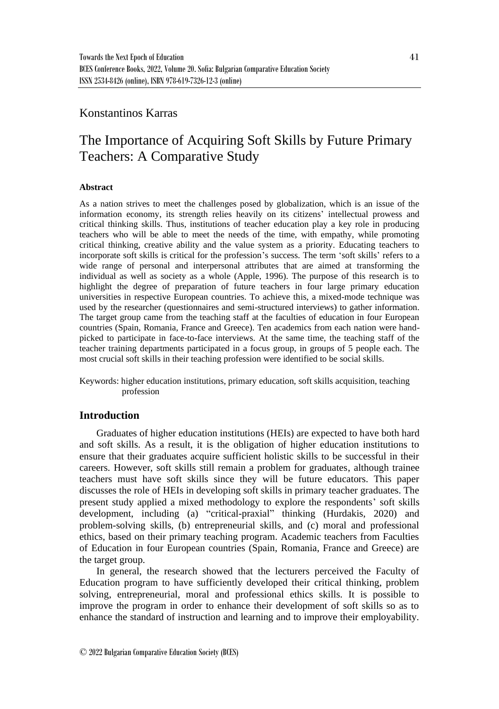# Konstantinos Karras

# The Importance of Acquiring Soft Skills by Future Primary Teachers: A Comparative Study

#### **Abstract**

As a nation strives to meet the challenges posed by globalization, which is an issue of the information economy, its strength relies heavily on its citizens' intellectual prowess and critical thinking skills. Thus, institutions of teacher education play a key role in producing teachers who will be able to meet the needs of the time, with empathy, while promoting critical thinking, creative ability and the value system as a priority. Educating teachers to incorporate soft skills is critical for the profession's success. The term 'soft skills' refers to a wide range of personal and interpersonal attributes that are aimed at transforming the individual as well as society as a whole (Apple, 1996). The purpose of this research is to highlight the degree of preparation of future teachers in four large primary education universities in respective European countries. To achieve this, a mixed-mode technique was used by the researcher (questionnaires and semi-structured interviews) to gather information. The target group came from the teaching staff at the faculties of education in four European countries (Spain, Romania, France and Greece). Ten academics from each nation were handpicked to participate in face-to-face interviews. At the same time, the teaching staff of the teacher training departments participated in a focus group, in groups of 5 people each. The most crucial soft skills in their teaching profession were identified to be social skills.

Keywords: higher education institutions, primary education, soft skills acquisition, teaching profession

# **Introduction**

Graduates of higher education institutions (HEIs) are expected to have both hard and soft skills. As a result, it is the obligation of higher education institutions to ensure that their graduates acquire sufficient holistic skills to be successful in their careers. However, soft skills still remain a problem for graduates, although trainee teachers must have soft skills since they will be future educators. This paper discusses the role of HEIs in developing soft skills in primary teacher graduates. The present study applied a mixed methodology to explore the respondents' soft skills development, including (a) "critical-praxial" thinking (Hurdakis, 2020) and problem-solving skills, (b) entrepreneurial skills, and (c) moral and professional ethics, based on their primary teaching program. Academic teachers from Faculties of Education in four European countries (Spain, Romania, France and Greece) are the target group.

In general, the research showed that the lecturers perceived the Faculty of Education program to have sufficiently developed their critical thinking, problem solving, entrepreneurial, moral and professional ethics skills. It is possible to improve the program in order to enhance their development of soft skills so as to enhance the standard of instruction and learning and to improve their employability.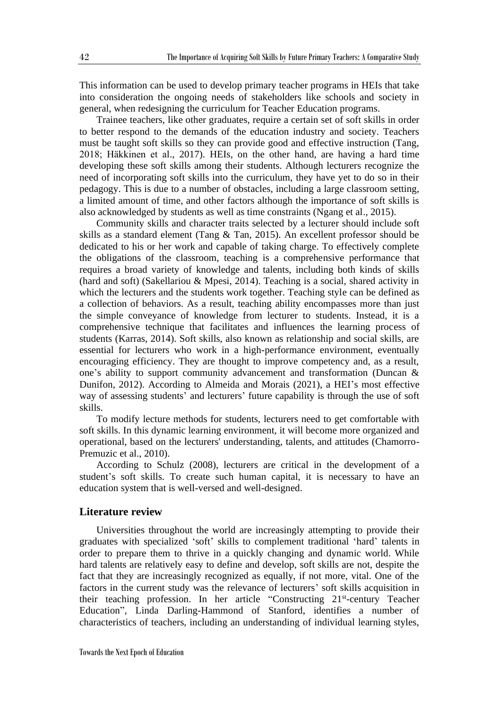This information can be used to develop primary teacher programs in HEIs that take into consideration the ongoing needs of stakeholders like schools and society in general, when redesigning the curriculum for Teacher Education programs.

Trainee teachers, like other graduates, require a certain set of soft skills in order to better respond to the demands of the education industry and society. Teachers must be taught soft skills so they can provide good and effective instruction (Tang, 2018; Häkkinen et al., 2017). HEIs, on the other hand, are having a hard time developing these soft skills among their students. Although lecturers recognize the need of incorporating soft skills into the curriculum, they have yet to do so in their pedagogy. This is due to a number of obstacles, including a large classroom setting, a limited amount of time, and other factors although the importance of soft skills is also acknowledged by students as well as time constraints (Ngang et al., 2015).

Community skills and character traits selected by a lecturer should include soft skills as a standard element (Tang & Tan, 2015). An excellent professor should be dedicated to his or her work and capable of taking charge. To effectively complete the obligations of the classroom, teaching is a comprehensive performance that requires a broad variety of knowledge and talents, including both kinds of skills (hard and soft) (Sakellariou & Mpesi, 2014). Teaching is a social, shared activity in which the lecturers and the students work together. Teaching style can be defined as a collection of behaviors. As a result, teaching ability encompasses more than just the simple conveyance of knowledge from lecturer to students. Instead, it is a comprehensive technique that facilitates and influences the learning process of students (Karras, 2014). Soft skills, also known as relationship and social skills, are essential for lecturers who work in a high-performance environment, eventually encouraging efficiency. They are thought to improve competency and, as a result, one's ability to support community advancement and transformation (Duncan & Dunifon, 2012). According to Almeida and Morais (2021), a HEI's most effective way of assessing students' and lecturers' future capability is through the use of soft skills.

To modify lecture methods for students, lecturers need to get comfortable with soft skills. In this dynamic learning environment, it will become more organized and operational, based on the lecturers' understanding, talents, and attitudes (Chamorro-Premuzic et al., 2010).

According to Schulz (2008), lecturers are critical in the development of a student's soft skills. To create such human capital, it is necessary to have an education system that is well-versed and well-designed.

# **Literature review**

Universities throughout the world are increasingly attempting to provide their graduates with specialized 'soft' skills to complement traditional 'hard' talents in order to prepare them to thrive in a quickly changing and dynamic world. While hard talents are relatively easy to define and develop, soft skills are not, despite the fact that they are increasingly recognized as equally, if not more, vital. One of the factors in the current study was the relevance of lecturers' soft skills acquisition in their teaching profession. In her article "Constructing 21<sup>st</sup>-century Teacher Education", Linda Darling-Hammond of Stanford, identifies a number of characteristics of teachers, including an understanding of individual learning styles,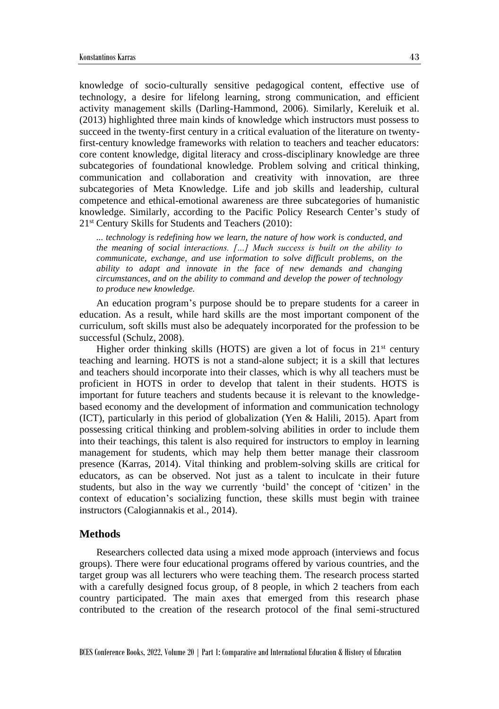knowledge of socio-culturally sensitive pedagogical content, effective use of technology, a desire for lifelong learning, strong communication, and efficient activity management skills (Darling-Hammond, 2006). Similarly, Kereluik et al. (2013) highlighted three main kinds of knowledge which instructors must possess to succeed in the twenty-first century in a critical evaluation of the literature on twentyfirst-century knowledge frameworks with relation to teachers and teacher educators: core content knowledge, digital literacy and cross-disciplinary knowledge are three subcategories of foundational knowledge. Problem solving and critical thinking, communication and collaboration and creativity with innovation, are three subcategories of Meta Knowledge. Life and job skills and leadership, cultural competence and ethical-emotional awareness are three subcategories of humanistic knowledge. Similarly, according to the Pacific Policy Research Center's study of 21<sup>st</sup> Century Skills for Students and Teachers (2010):

*... technology is redefining how we learn, the nature of how work is conducted, and the meaning of social interactions. […] Much success is built on the ability to communicate, exchange, and use information to solve difficult problems, on the ability to adapt and innovate in the face of new demands and changing circumstances, and on the ability to command and develop the power of technology to produce new knowledge.* 

An education program's purpose should be to prepare students for a career in education. As a result, while hard skills are the most important component of the curriculum, soft skills must also be adequately incorporated for the profession to be successful (Schulz, 2008).

Higher order thinking skills (HOTS) are given a lot of focus in  $21<sup>st</sup>$  century teaching and learning. HOTS is not a stand-alone subject; it is a skill that lectures and teachers should incorporate into their classes, which is why all teachers must be proficient in HOTS in order to develop that talent in their students. HOTS is important for future teachers and students because it is relevant to the knowledgebased economy and the development of information and communication technology (ICT), particularly in this period of globalization (Yen & Halili, 2015). Apart from possessing critical thinking and problem-solving abilities in order to include them into their teachings, this talent is also required for instructors to employ in learning management for students, which may help them better manage their classroom presence (Karras, 2014). Vital thinking and problem-solving skills are critical for educators, as can be observed. Not just as a talent to inculcate in their future students, but also in the way we currently 'build' the concept of 'citizen' in the context of education's socializing function, these skills must begin with trainee instructors (Calogiannakis et al., 2014).

### **Methods**

Researchers collected data using a mixed mode approach (interviews and focus groups). There were four educational programs offered by various countries, and the target group was all lecturers who were teaching them. The research process started with a carefully designed focus group, of 8 people, in which 2 teachers from each country participated. The main axes that emerged from this research phase contributed to the creation of the research protocol of the final semi-structured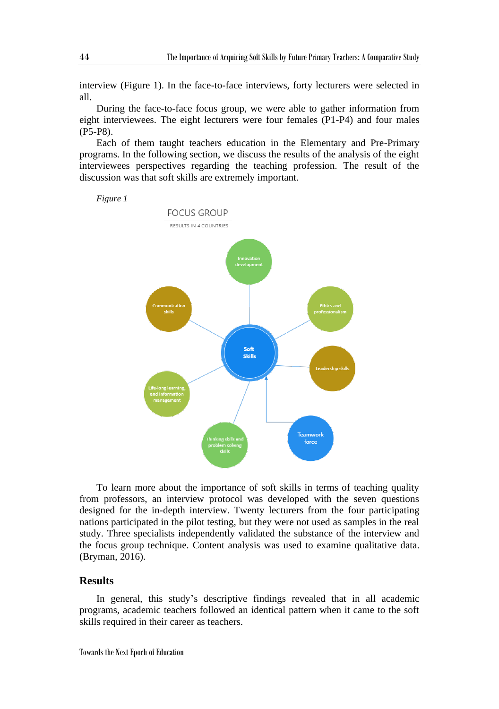interview (Figure 1). In the face-to-face interviews, forty lecturers were selected in all.

During the face-to-face focus group, we were able to gather information from eight interviewees. The eight lecturers were four females (P1-P4) and four males (P5-P8).

Each of them taught teachers education in the Elementary and Pre-Primary programs. In the following section, we discuss the results of the analysis of the eight interviewees perspectives regarding the teaching profession. The result of the discussion was that soft skills are extremely important.





To learn more about the importance of soft skills in terms of teaching quality from professors, an interview protocol was developed with the seven questions designed for the in-depth interview. Twenty lecturers from the four participating nations participated in the pilot testing, but they were not used as samples in the real study. Three specialists independently validated the substance of the interview and the focus group technique. Content analysis was used to examine qualitative data. (Bryman, 2016).

#### **Results**

In general, this study's descriptive findings revealed that in all academic programs, academic teachers followed an identical pattern when it came to the soft skills required in their career as teachers.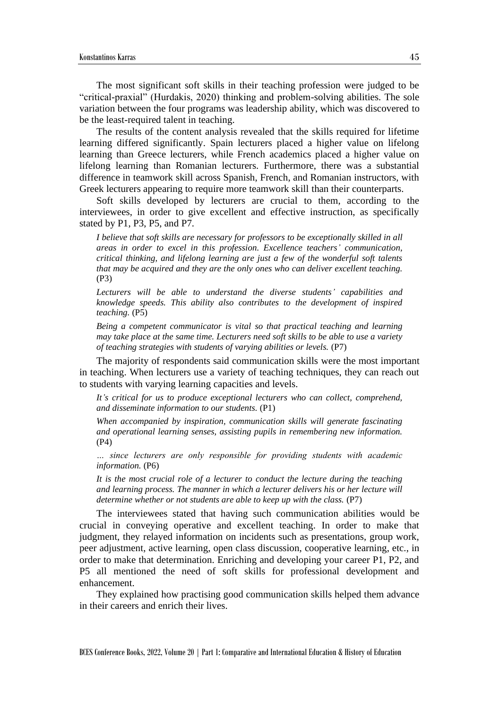The most significant soft skills in their teaching profession were judged to be "critical-praxial" (Hurdakis, 2020) thinking and problem-solving abilities. The sole variation between the four programs was leadership ability, which was discovered to be the least-required talent in teaching.

The results of the content analysis revealed that the skills required for lifetime learning differed significantly. Spain lecturers placed a higher value on lifelong learning than Greece lecturers, while French academics placed a higher value on lifelong learning than Romanian lecturers. Furthermore, there was a substantial difference in teamwork skill across Spanish, French, and Romanian instructors, with Greek lecturers appearing to require more teamwork skill than their counterparts.

Soft skills developed by lecturers are crucial to them, according to the interviewees, in order to give excellent and effective instruction, as specifically stated by P1, P3, P5, and P7.

*I believe that soft skills are necessary for professors to be exceptionally skilled in all areas in order to excel in this profession. Excellence teachers' communication, critical thinking, and lifelong learning are just a few of the wonderful soft talents that may be acquired and they are the only ones who can deliver excellent teaching.* (P3)

*Lecturers will be able to understand the diverse students' capabilities and knowledge speeds. This ability also contributes to the development of inspired teaching.* (P5)

*Being a competent communicator is vital so that practical teaching and learning may take place at the same time. Lecturers need soft skills to be able to use a variety of teaching strategies with students of varying abilities or levels.* (P7)

The majority of respondents said communication skills were the most important in teaching. When lecturers use a variety of teaching techniques, they can reach out to students with varying learning capacities and levels.

*It's critical for us to produce exceptional lecturers who can collect, comprehend, and disseminate information to our students.* (P1)

*When accompanied by inspiration, communication skills will generate fascinating and operational learning senses, assisting pupils in remembering new information.*  (P4)

*… since lecturers are only responsible for providing students with academic information.* (P6)

It is the most crucial role of a lecturer to conduct the lecture during the teaching *and learning process. The manner in which a lecturer delivers his or her lecture will determine whether or not students are able to keep up with the class.* (P7)

The interviewees stated that having such communication abilities would be crucial in conveying operative and excellent teaching. In order to make that judgment, they relayed information on incidents such as presentations, group work, peer adjustment, active learning, open class discussion, cooperative learning, etc., in order to make that determination. Enriching and developing your career P1, P2, and P5 all mentioned the need of soft skills for professional development and enhancement.

They explained how practising good communication skills helped them advance in their careers and enrich their lives.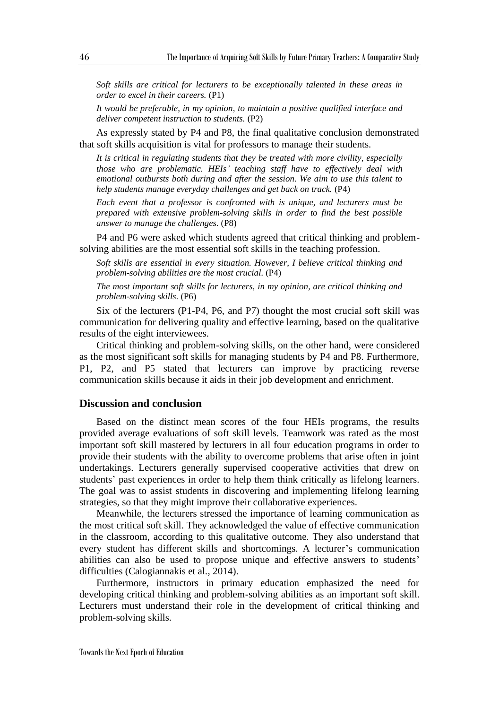*Soft skills are critical for lecturers to be exceptionally talented in these areas in order to excel in their careers.* (P1)

*It would be preferable, in my opinion, to maintain a positive qualified interface and deliver competent instruction to students.* (P2)

As expressly stated by P4 and P8, the final qualitative conclusion demonstrated that soft skills acquisition is vital for professors to manage their students.

*It is critical in regulating students that they be treated with more civility, especially those who are problematic. HEIs' teaching staff have to effectively deal with emotional outbursts both during and after the session. We aim to use this talent to help students manage everyday challenges and get back on track.* (P4)

*Each event that a professor is confronted with is unique, and lecturers must be prepared with extensive problem-solving skills in order to find the best possible answer to manage the challenges.* (P8)

P4 and P6 were asked which students agreed that critical thinking and problemsolving abilities are the most essential soft skills in the teaching profession.

*Soft skills are essential in every situation. However, I believe critical thinking and problem-solving abilities are the most crucial.* (P4)

*The most important soft skills for lecturers, in my opinion, are critical thinking and problem-solving skills.* (P6)

Six of the lecturers (P1-P4, P6, and P7) thought the most crucial soft skill was communication for delivering quality and effective learning, based on the qualitative results of the eight interviewees.

Critical thinking and problem-solving skills, on the other hand, were considered as the most significant soft skills for managing students by P4 and P8. Furthermore, P1, P2, and P5 stated that lecturers can improve by practicing reverse communication skills because it aids in their job development and enrichment.

# **Discussion and conclusion**

Based on the distinct mean scores of the four HEIs programs, the results provided average evaluations of soft skill levels. Teamwork was rated as the most important soft skill mastered by lecturers in all four education programs in order to provide their students with the ability to overcome problems that arise often in joint undertakings. Lecturers generally supervised cooperative activities that drew on students' past experiences in order to help them think critically as lifelong learners. The goal was to assist students in discovering and implementing lifelong learning strategies, so that they might improve their collaborative experiences.

Meanwhile, the lecturers stressed the importance of learning communication as the most critical soft skill. They acknowledged the value of effective communication in the classroom, according to this qualitative outcome. They also understand that every student has different skills and shortcomings. A lecturer's communication abilities can also be used to propose unique and effective answers to students' difficulties (Calogiannakis et al., 2014).

Furthermore, instructors in primary education emphasized the need for developing critical thinking and problem-solving abilities as an important soft skill. Lecturers must understand their role in the development of critical thinking and problem-solving skills.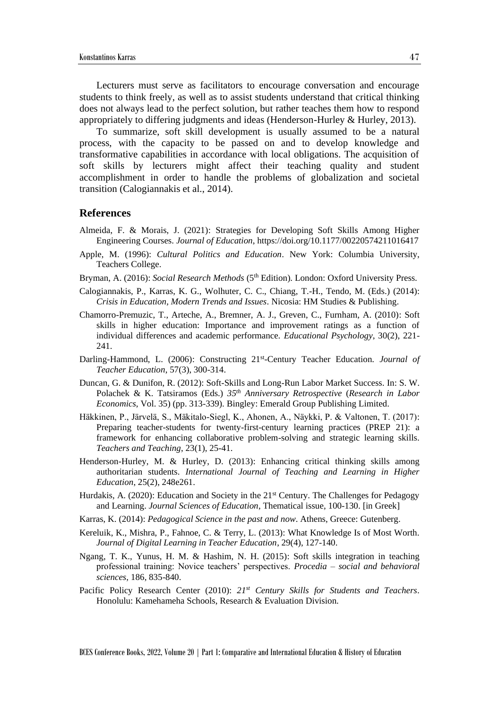Lecturers must serve as facilitators to encourage conversation and encourage students to think freely, as well as to assist students understand that critical thinking does not always lead to the perfect solution, but rather teaches them how to respond appropriately to differing judgments and ideas (Henderson-Hurley & Hurley, 2013).

To summarize, soft skill development is usually assumed to be a natural process, with the capacity to be passed on and to develop knowledge and transformative capabilities in accordance with local obligations. The acquisition of soft skills by lecturers might affect their teaching quality and student accomplishment in order to handle the problems of globalization and societal transition (Calogiannakis et al., 2014).

#### **References**

- Almeida, F. & Morais, J. (2021): Strategies for Developing Soft Skills Among Higher Engineering Courses. *Journal of Education*, https://doi.org/10.1177/00220574211016417
- Apple, M. (1996): *Cultural Politics and Education*. New York: Columbia University, Teachers College.
- Bryman, A. (2016): *Social Research Methods* (5<sup>th</sup> Edition). London: Oxford University Press.
- Calogiannakis, P., Karras, K. G., Wolhuter, C. C., Chiang, T.-H., Tendo, M. (Eds.) (2014): *Crisis in Education, Modern Trends and Issues*. Nicosia: HM Studies & Publishing.
- Chamorro-Premuzic, T., Arteche, A., Bremner, A. J., Greven, C., Furnham, A. (2010): Soft skills in higher education: Importance and improvement ratings as a function of individual differences and academic performance. *Educational Psychology*, 30(2), 221- 241.
- Darling-Hammond, L. (2006): Constructing 21<sup>st</sup>-Century Teacher Education. *Journal of Teacher Education*, 57(3), 300-314.
- Duncan, G. & Dunifon, R. (2012): Soft-Skills and Long-Run Labor Market Success. In: S. W. Polachek & K. Tatsiramos (Eds.) *35th Anniversary Retrospective* (*Research in Labor Economics*, Vol. 35) (pp. 313-339). Bingley: Emerald Group Publishing Limited.
- Häkkinen, P., Järvelä, S., Mäkitalo-Siegl, K., Ahonen, A., Näykki, P. & Valtonen, T. (2017): Preparing teacher-students for twenty-first-century learning practices (PREP 21): a framework for enhancing collaborative problem-solving and strategic learning skills. *Teachers and Teaching*, 23(1), 25-41.
- Henderson-Hurley, M. & Hurley, D. (2013): Enhancing critical thinking skills among authoritarian students. *International Journal of Teaching and Learning in Higher Education*, 25(2), 248e261.
- Hurdakis, A. (2020): Education and Society in the 21<sup>st</sup> Century. The Challenges for Pedagogy and Learning. *Journal Sciences of Education*, Thematical issue, 100-130. [in Greek]
- Karras, K. (2014): *Pedagogical Science in the past and now*. Athens, Greece: Gutenberg.
- Kereluik, K., Mishra, P., Fahnoe, C. & Terry, L. (2013): What Knowledge Is of Most Worth. *Journal of Digital Learning in Teacher Education*, 29(4), 127-140.
- Ngang, T. K., Yunus, H. M. & Hashim, N. H. (2015): Soft skills integration in teaching professional training: Novice teachers' perspectives. *Procedia – social and behavioral sciences*, 186, 835-840.
- Pacific Policy Research Center (2010): *21st Century Skills for Students and Teachers*. Honolulu: Kamehameha Schools, Research & Evaluation Division.